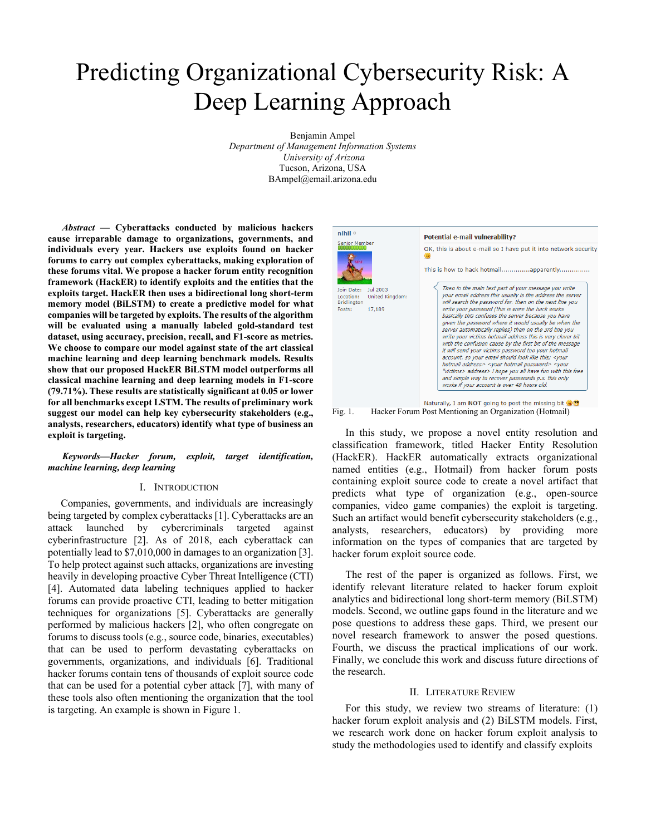# Predicting Organizational Cybersecurity Risk: A Deep Learning Approach

Benjamin Ampel *Department of Management Information Systems University of Arizona* Tucson, Arizona, USA BAmpel@email.arizona.edu

*Abstract* **— Cyberattacks conducted by malicious hackers cause irreparable damage to organizations, governments, and individuals every year. Hackers use exploits found on hacker forums to carry out complex cyberattacks, making exploration of these forums vital. We propose a hacker forum entity recognition framework (HackER) to identify exploits and the entities that the exploits target. HackER then uses a bidirectional long short-term memory model (BiLSTM) to create a predictive model for what companies will be targeted by exploits. The results of the algorithm will be evaluated using a manually labeled gold-standard test dataset, using accuracy, precision, recall, and F1-score as metrics. We choose to compare our model against state of the art classical machine learning and deep learning benchmark models. Results show that our proposed HackER BiLSTM model outperforms all classical machine learning and deep learning models in F1-score (79.71%). These results are statistically significant at 0.05 or lower for all benchmarks except LSTM. The results of preliminary work suggest our model can help key cybersecurity stakeholders (e.g., analysts, researchers, educators) identify what type of business an exploit is targeting.** 

*Keywords—Hacker forum, exploit, target identification, machine learning, deep learning*

# I. INTRODUCTION

 Companies, governments, and individuals are increasingly being targeted by complex cyberattacks [1]. Cyberattacks are an attack launched by cybercriminals targeted against cyberinfrastructure [2]. As of 2018, each cyberattack can potentially lead to \$7,010,000 in damages to an organization [3]. To help protect against such attacks, organizations are investing heavily in developing proactive Cyber Threat Intelligence (CTI) [4]. Automated data labeling techniques applied to hacker forums can provide proactive CTI, leading to better mitigation techniques for organizations [5]. Cyberattacks are generally performed by malicious hackers [2], who often congregate on forums to discuss tools (e.g., source code, binaries, executables) that can be used to perform devastating cyberattacks on governments, organizations, and individuals [6]. Traditional hacker forums contain tens of thousands of exploit source code that can be used for a potential cyber attack [7], with many of these tools also often mentioning the organization that the tool is targeting. An example is shown in Figure 1.



Fig. 1. Hacker Forum Post Mentioning an Organization (Hotmail)

 In this study, we propose a novel entity resolution and classification framework, titled Hacker Entity Resolution (HackER). HackER automatically extracts organizational named entities (e.g., Hotmail) from hacker forum posts containing exploit source code to create a novel artifact that predicts what type of organization (e.g., open-source companies, video game companies) the exploit is targeting. Such an artifact would benefit cybersecurity stakeholders (e.g., analysts, researchers, educators) by providing more information on the types of companies that are targeted by hacker forum exploit source code.

 The rest of the paper is organized as follows. First, we identify relevant literature related to hacker forum exploit analytics and bidirectional long short-term memory (BiLSTM) models. Second, we outline gaps found in the literature and we pose questions to address these gaps. Third, we present our novel research framework to answer the posed questions. Fourth, we discuss the practical implications of our work. Finally, we conclude this work and discuss future directions of the research.

#### II. LITERATURE REVIEW

 For this study, we review two streams of literature: (1) hacker forum exploit analysis and (2) BiLSTM models. First, we research work done on hacker forum exploit analysis to study the methodologies used to identify and classify exploits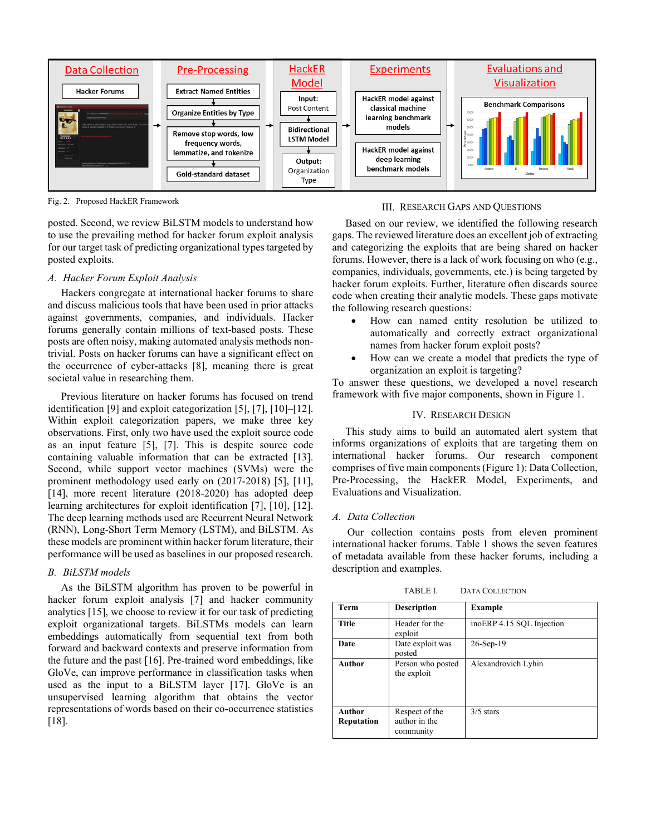

Fig. 2. Proposed HackER Framework

posted. Second, we review BiLSTM models to understand how to use the prevailing method for hacker forum exploit analysis for our target task of predicting organizational types targeted by posted exploits.

# *A. Hacker Forum Exploit Analysis*

 Hackers congregate at international hacker forums to share and discuss malicious tools that have been used in prior attacks against governments, companies, and individuals. Hacker forums generally contain millions of text-based posts. These posts are often noisy, making automated analysis methods nontrivial. Posts on hacker forums can have a significant effect on the occurrence of cyber-attacks [8], meaning there is great societal value in researching them.

 Previous literature on hacker forums has focused on trend identification [9] and exploit categorization [5], [7], [10]–[12]. Within exploit categorization papers, we make three key observations. First, only two have used the exploit source code as an input feature [5], [7]. This is despite source code containing valuable information that can be extracted [13]. Second, while support vector machines (SVMs) were the prominent methodology used early on (2017-2018) [5], [11], [14], more recent literature (2018-2020) has adopted deep learning architectures for exploit identification [7], [10], [12]. The deep learning methods used are Recurrent Neural Network (RNN), Long-Short Term Memory (LSTM), and BiLSTM. As these models are prominent within hacker forum literature, their performance will be used as baselines in our proposed research.

# *B. BiLSTM models*

 As the BiLSTM algorithm has proven to be powerful in hacker forum exploit analysis [7] and hacker community analytics [15], we choose to review it for our task of predicting exploit organizational targets. BiLSTMs models can learn embeddings automatically from sequential text from both forward and backward contexts and preserve information from the future and the past [16]. Pre-trained word embeddings, like GloVe, can improve performance in classification tasks when used as the input to a BiLSTM layer [17]. GloVe is an unsupervised learning algorithm that obtains the vector representations of words based on their co-occurrence statistics [18].

## III. RESEARCH GAPS AND QUESTIONS

 Based on our review, we identified the following research gaps. The reviewed literature does an excellent job of extracting and categorizing the exploits that are being shared on hacker forums. However, there is a lack of work focusing on who (e.g., companies, individuals, governments, etc.) is being targeted by hacker forum exploits. Further, literature often discards source code when creating their analytic models. These gaps motivate the following research questions:

- How can named entity resolution be utilized to automatically and correctly extract organizational names from hacker forum exploit posts?
- How can we create a model that predicts the type of organization an exploit is targeting?

To answer these questions, we developed a novel research framework with five major components, shown in Figure 1.

# IV. RESEARCH DESIGN

 This study aims to build an automated alert system that informs organizations of exploits that are targeting them on international hacker forums. Our research component comprises of five main components(Figure 1): Data Collection, Pre-Processing, the HackER Model, Experiments, and Evaluations and Visualization.

## *A. Data Collection*

Our collection contains posts from eleven prominent international hacker forums. Table 1 shows the seven features of metadata available from these hacker forums, including a description and examples.

| <b>Term</b>                 | <b>Description</b>                           | <b>Example</b>            |  |
|-----------------------------|----------------------------------------------|---------------------------|--|
| <b>Title</b>                | Header for the<br>exploit                    | inoERP 4.15 SQL Injection |  |
| Date                        | Date exploit was<br>posted                   | $26-Sep-19$               |  |
| <b>Author</b>               | Person who posted<br>the exploit             | Alexandrovich Lyhin       |  |
| <b>Author</b><br>Reputation | Respect of the<br>author in the<br>community | $3/5$ stars               |  |

TABLE I. DATA COLLECTION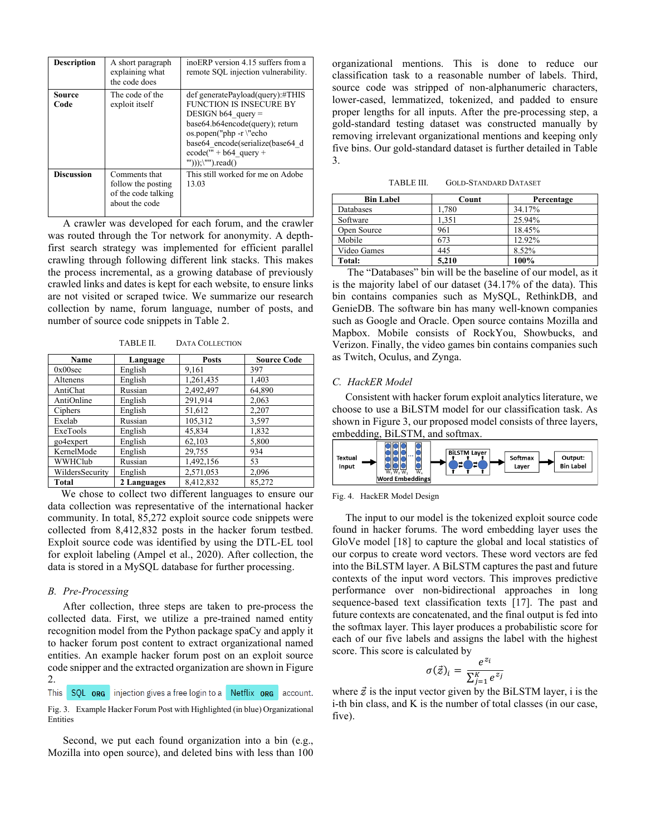| <b>Description</b> | A short paragraph<br>explaining what<br>the code does                        | inoERP version 4.15 suffers from a<br>remote SQL injection vulnerability.                                                                                                                                                                               |
|--------------------|------------------------------------------------------------------------------|---------------------------------------------------------------------------------------------------------------------------------------------------------------------------------------------------------------------------------------------------------|
| Source<br>Code     | The code of the<br>exploit itself                                            | def generatePayload(query):#THIS<br>FUNCTION IS INSECURE BY<br>DESIGN b64 query $=$<br>base64.b64encode(query); return<br>os.popen("php -r \"echo<br>base64 encode(serialize(base64 d<br>$\text{ecode}(" + b64 \text{ query} +$<br>$'''))$ ;\"").read() |
| <b>Discussion</b>  | Comments that<br>follow the posting<br>of the code talking<br>about the code | This still worked for me on Adobe<br>13.03                                                                                                                                                                                                              |

A crawler was developed for each forum, and the crawler was routed through the Tor network for anonymity. A depthfirst search strategy was implemented for efficient parallel crawling through following different link stacks. This makes the process incremental, as a growing database of previously crawled links and dates is kept for each website, to ensure links are not visited or scraped twice. We summarize our research collection by name, forum language, number of posts, and number of source code snippets in Table 2.

TABLE II. DATA COLLECTION

| Name            | Language    | <b>Posts</b> | <b>Source Code</b> |
|-----------------|-------------|--------------|--------------------|
| 0x00sec         | English     | 9.161        | 397                |
| Altenens        | English     | 1,261,435    | 1,403              |
| AntiChat        | Russian     | 2,492,497    | 64,890             |
| AntiOnline      | English     | 291,914      | 2,063              |
| Ciphers         | English     | 51,612       | 2,207              |
| Exelab          | Russian     | 105,312      | 3,597              |
| ExeTools        | English     | 45,834       | 1,832              |
| go4expert       | English     | 62,103       | 5,800              |
| KernelMode      | English     | 29,755       | 934                |
| WWHClub         | Russian     | 1,492,156    | 53                 |
| WildersSecurity | English     | 2,571,053    | 2,096              |
| Total           | 2 Languages | 8,412,832    | 85,272             |

 We chose to collect two different languages to ensure our data collection was representative of the international hacker community. In total, 85,272 exploit source code snippets were collected from 8,412,832 posts in the hacker forum testbed. Exploit source code was identified by using the DTL-EL tool for exploit labeling (Ampel et al., 2020). After collection, the data is stored in a MySQL database for further processing.

## *B. Pre-Processing*

After collection, three steps are taken to pre-process the collected data. First, we utilize a pre-trained named entity recognition model from the Python package spaCy and apply it to hacker forum post content to extract organizational named entities. An example hacker forum post on an exploit source code snipper and the extracted organization are shown in Figure 2.

This SQL ong injection gives a free login to a Netflix ong account.

Fig. 3. Example Hacker Forum Post with Highlighted (in blue) Organizational Entities

Second, we put each found organization into a bin (e.g., Mozilla into open source), and deleted bins with less than 100 organizational mentions. This is done to reduce our classification task to a reasonable number of labels. Third, source code was stripped of non-alphanumeric characters, lower-cased, lemmatized, tokenized, and padded to ensure proper lengths for all inputs. After the pre-processing step, a gold-standard testing dataset was constructed manually by removing irrelevant organizational mentions and keeping only five bins. Our gold-standard dataset is further detailed in Table 3.

TABLE III. GOLD-STANDARD DATASET

| <b>Bin Label</b> | Count | Percentage |
|------------------|-------|------------|
| Databases        | 1.780 | 34.17%     |
| Software         | 1.351 | 25.94%     |
| Open Source      | 961   | 18.45%     |
| Mobile           | 673   | 12.92%     |
| Video Games      | 445   | 8.52%      |
| Total:           | 5.210 | 100%       |

The "Databases" bin will be the baseline of our model, as it is the majority label of our dataset (34.17% of the data). This bin contains companies such as MySQL, RethinkDB, and GenieDB. The software bin has many well-known companies such as Google and Oracle. Open source contains Mozilla and Mapbox. Mobile consists of RockYou, Showbucks, and Verizon. Finally, the video games bin contains companies such as Twitch, Oculus, and Zynga.

# *C. HackER Model*

 Consistent with hacker forum exploit analytics literature, we choose to use a BiLSTM model for our classification task. As shown in Figure 3, our proposed model consists of three layers, embedding, BiLSTM, and softmax.



Fig. 4. HackER Model Design

 The input to our model is the tokenized exploit source code found in hacker forums. The word embedding layer uses the GloVe model [18] to capture the global and local statistics of our corpus to create word vectors. These word vectors are fed into the BiLSTM layer. A BiLSTM captures the past and future contexts of the input word vectors. This improves predictive performance over non-bidirectional approaches in long sequence-based text classification texts [17]. The past and future contexts are concatenated, and the final output is fed into the softmax layer. This layer produces a probabilistic score for each of our five labels and assigns the label with the highest score. This score is calculated by

$$
\sigma(\vec{z})_i = \frac{e^{z_i}}{\sum_{j=1}^K e^{z_j}}
$$

where  $\vec{z}$  is the input vector given by the BiLSTM layer, i is the i-th bin class, and K is the number of total classes (in our case, five).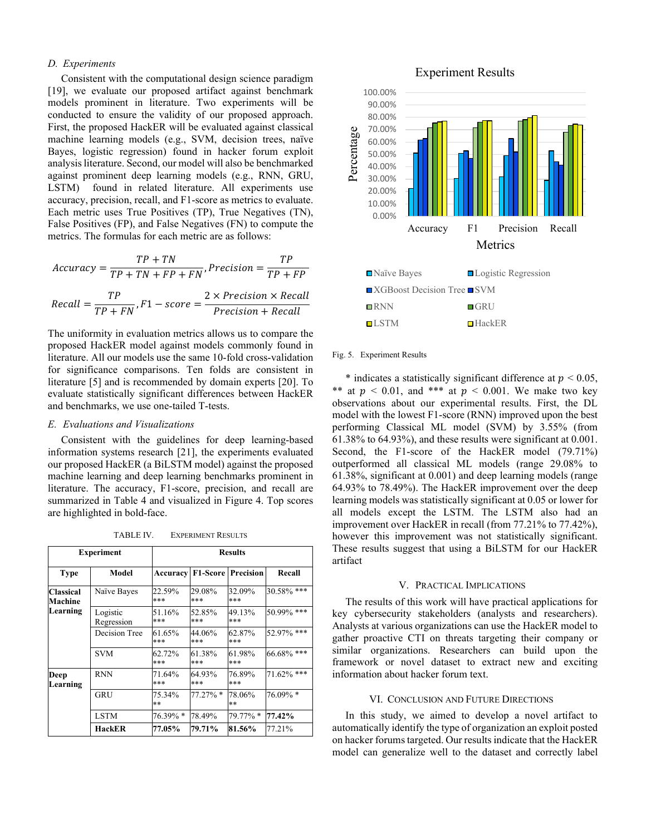## *D. Experiments*

 Consistent with the computational design science paradigm [19], we evaluate our proposed artifact against benchmark models prominent in literature. Two experiments will be conducted to ensure the validity of our proposed approach. First, the proposed HackER will be evaluated against classical machine learning models (e.g., SVM, decision trees, naïve Bayes, logistic regression) found in hacker forum exploit analysis literature. Second, our model will also be benchmarked against prominent deep learning models (e.g., RNN, GRU, LSTM) found in related literature. All experiments use accuracy, precision, recall, and F1-score as metrics to evaluate. Each metric uses True Positives (TP), True Negatives (TN), False Positives (FP), and False Negatives (FN) to compute the metrics. The formulas for each metric are as follows:

$$
Accuracy = \frac{TP + TN}{TP + TN + FP + FN}, Precision = \frac{TP}{TP + FP}
$$

$$
Recall = \frac{TP}{TP + FN}, F1 - score = \frac{2 \times Precision \times Recall}{Precision + Recall}
$$

The uniformity in evaluation metrics allows us to compare the proposed HackER model against models commonly found in literature. All our models use the same 10-fold cross-validation for significance comparisons. Ten folds are consistent in literature [5] and is recommended by domain experts [20]. To evaluate statistically significant differences between HackER and benchmarks, we use one-tailed T-tests.

## *E. Evaluations and Visualizations*

 Consistent with the guidelines for deep learning-based information systems research [21], the experiments evaluated our proposed HackER (a BiLSTM model) against the proposed machine learning and deep learning benchmarks prominent in literature. The accuracy, F1-score, precision, and recall are summarized in Table 4 and visualized in Figure 4. Top scores are highlighted in bold-face.

| Experiment                       |                        | <b>Results</b>  |               |                           |            |
|----------------------------------|------------------------|-----------------|---------------|---------------------------|------------|
| <b>Type</b>                      | Model                  | Accuracy        |               | <b>F1-Score Precision</b> | Recall     |
| Classical<br>Machine<br>Learning | Naïve Bayes            | 22.59%<br>***   | 29.08%<br>*** | 32.09%<br>***             | 30.58% *** |
|                                  | Logistic<br>Regression | 51.16%<br>***   | 52.85%<br>*** | 49.13%<br>***             | 50.99% *** |
|                                  | Decision Tree          | 61.65%<br>***   | 44.06%<br>*** | 62.87%<br>***             | 52.97% *** |
|                                  | <b>SVM</b>             | 62.72%<br>***   | 61.38%<br>*** | 61.98%<br>***             | 66.68% *** |
| Deep<br>Learning                 | <b>RNN</b>             | 71.64%<br>***   | 64.93%<br>*** | 76.89%<br>***             | 71.62% *** |
|                                  | GRU                    | 75.34%<br>$* *$ | $77.27\%$ *   | 78.06%<br>$* *$           | 76.09% *   |
|                                  | <b>LSTM</b>            | 76.39% *        | 78.49%        | $79.77\% *$               | 77.42%     |
|                                  | HackER                 | 77.05%          | 79.71%        | 81.56%                    | 77.21%     |

Experiment Results



# Fig. 5. Experiment Results

\* indicates a statistically significant difference at  $p < 0.05$ , \*\* at  $p < 0.01$ , and \*\*\* at  $p < 0.001$ . We make two key observations about our experimental results. First, the DL model with the lowest F1-score (RNN) improved upon the best performing Classical ML model (SVM) by 3.55% (from 61.38% to 64.93%), and these results were significant at 0.001. Second, the F1-score of the HackER model (79.71%) outperformed all classical ML models (range 29.08% to 61.38%, significant at 0.001) and deep learning models (range 64.93% to 78.49%). The HackER improvement over the deep learning models was statistically significant at 0.05 or lower for all models except the LSTM. The LSTM also had an improvement over HackER in recall (from 77.21% to 77.42%), however this improvement was not statistically significant. These results suggest that using a BiLSTM for our HackER artifact

# V. PRACTICAL IMPLICATIONS

 The results of this work will have practical applications for key cybersecurity stakeholders (analysts and researchers). Analysts at various organizations can use the HackER model to gather proactive CTI on threats targeting their company or similar organizations. Researchers can build upon the framework or novel dataset to extract new and exciting information about hacker forum text.

# VI. CONCLUSION AND FUTURE DIRECTIONS

 In this study, we aimed to develop a novel artifact to automatically identify the type of organization an exploit posted on hacker forums targeted. Our results indicate that the HackER model can generalize well to the dataset and correctly label